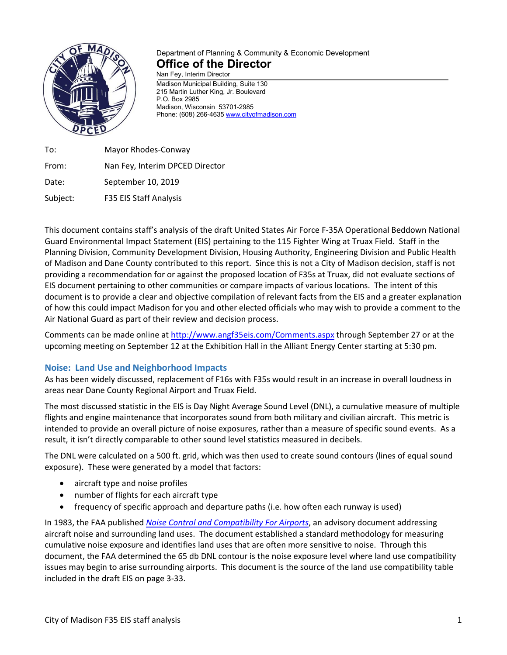

# Department of Planning & Community & Economic Development **Office of the Director**

Nan Fey, Interim Director Madison Municipal Building, Suite 130 215 Martin Luther King, Jr. Boulevard P.O. Box 2985 Madison, Wisconsin 53701-2985 Phone: (608) 266-4635 [www.cityofmadison.com](http://www.cityofmadison.com/)

To: Mayor Rhodes-Conway From: Nan Fey, Interim DPCED Director Date: September 10, 2019 Subject: F35 EIS Staff Analysis

This document contains staff's analysis of the draft United States Air Force F-35A Operational Beddown National Guard Environmental Impact Statement (EIS) pertaining to the 115 Fighter Wing at Truax Field. Staff in the Planning Division, Community Development Division, Housing Authority, Engineering Division and Public Health of Madison and Dane County contributed to this report. Since this is not a City of Madison decision, staff is not providing a recommendation for or against the proposed location of F35s at Truax, did not evaluate sections of EIS document pertaining to other communities or compare impacts of various locations. The intent of this document is to provide a clear and objective compilation of relevant facts from the EIS and a greater explanation of how this could impact Madison for you and other elected officials who may wish to provide a comment to the Air National Guard as part of their review and decision process.

Comments can be made online at<http://www.angf35eis.com/Comments.aspx> through September 27 or at the upcoming meeting on September 12 at the Exhibition Hall in the Alliant Energy Center starting at 5:30 pm.

## **Noise: Land Use and Neighborhood Impacts**

As has been widely discussed, replacement of F16s with F35s would result in an increase in overall loudness in areas near Dane County Regional Airport and Truax Field.

The most discussed statistic in the EIS is Day Night Average Sound Level (DNL), a cumulative measure of multiple flights and engine maintenance that incorporates sound from both military and civilian aircraft. This metric is intended to provide an overall picture of noise exposures, rather than a measure of specific sound events. As a result, it isn't directly comparable to other sound level statistics measured in decibels.

The DNL were calculated on a 500 ft. grid, which was then used to create sound contours (lines of equal sound exposure). These were generated by a model that factors:

- aircraft type and noise profiles
- number of flights for each aircraft type
- frequency of specific approach and departure paths (i.e. how often each runway is used)

In 1983, the FAA published *[Noise Control and Compatibility For Airports](https://www.faa.gov/documentLibrary/media/Advisory_Circular/AC_150_5020-1.pdf)*, an advisory document addressing aircraft noise and surrounding land uses. The document established a standard methodology for measuring cumulative noise exposure and identifies land uses that are often more sensitive to noise. Through this document, the FAA determined the 65 db DNL contour is the noise exposure level where land use compatibility issues may begin to arise surrounding airports. This document is the source of the land use compatibility table included in the draft EIS on page 3-33.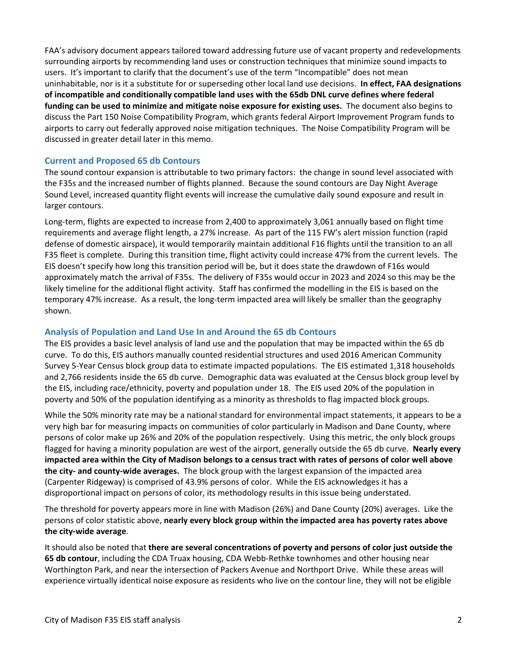FAA's advisory document appears tailored toward addressing future use of vacant property and redevelopments surrounding airports by recommending land uses or construction techniques that minimize sound impacts to users. It's important to clarify that the document's use of the term "Incompatible" does not mean uninhabitable, nor is it a substitute for or superseding other local land use decisions. **In effect, FAA designations of incompatible and conditionally compatible land uses with the 65db DNL curve defines where federal funding can be used to minimize and mitigate noise exposure for existing uses.** The document also begins to discuss the Part 150 Noise Compatibility Program, which grants federal Airport Improvement Program funds to airports to carry out federally approved noise mitigation techniques. The Noise Compatibility Program will be discussed in greater detail later in this memo.

#### **Current and Proposed 65 db Contours**

The sound contour expansion is attributable to two primary factors: the change in sound level associated with the F35s and the increased number of flights planned. Because the sound contours are Day Night Average Sound Level, increased quantity flight events will increase the cumulative daily sound exposure and result in larger contours.

Long-term, flights are expected to increase from 2,400 to approximately 3,061 annually based on flight time requirements and average flight length, a 27% increase. As part of the 115 FW's alert mission function (rapid defense of domestic airspace), it would temporarily maintain additional F16 flights until the transition to an all F35 fleet is complete. During this transition time, flight activity could increase 47% from the current levels. The EIS doesn't specify how long this transition period will be, but it does state the drawdown of F16s would approximately match the arrival of F35s. The delivery of F35s would occur in 2023 and 2024 so this may be the likely timeline for the additional flight activity. Staff has confirmed the modelling in the EIS is based on the temporary 47% increase. As a result, the long-term impacted area will likely be smaller than the geography shown.

#### **Analysis of Population and Land Use In and Around the 65 db Contours**

The EIS provides a basic level analysis of land use and the population that may be impacted within the 65 db curve. To do this, EIS authors manually counted residential structures and used 2016 American Community Survey 5-Year Census block group data to estimate impacted populations. The EIS estimated 1,318 households and 2,766 residents inside the 65 db curve. Demographic data was evaluated at the Census block group level by the EIS, including race/ethnicity, poverty and population under 18. The EIS used 20% of the population in poverty and 50% of the population identifying as a minority as thresholds to flag impacted block groups.

While the 50% minority rate may be a national standard for environmental impact statements, it appears to be a very high bar for measuring impacts on communities of color particularly in Madison and Dane County, where persons of color make up 26% and 20% of the population respectively. Using this metric, the only block groups flagged for having a minority population are west of the airport, generally outside the 65 db curve. **Nearly every impacted area within the City of Madison belongs to a census tract with rates of persons of color well above the city- and county-wide averages.** The block group with the largest expansion of the impacted area (Carpenter Ridgeway) is comprised of 43.9% persons of color. While the EIS acknowledges it has a disproportional impact on persons of color, its methodology results in this issue being understated.

The threshold for poverty appears more in line with Madison (26%) and Dane County (20%) averages. Like the persons of color statistic above, **nearly every block group within the impacted area has poverty rates above the city-wide average**.

It should also be noted that **there are several concentrations of poverty and persons of color just outside the 65 db contour**, including the CDA Truax housing, CDA Webb-Rethke townhomes and other housing near Worthington Park, and near the intersection of Packers Avenue and Northport Drive. While these areas will experience virtually identical noise exposure as residents who live on the contour line, they will not be eligible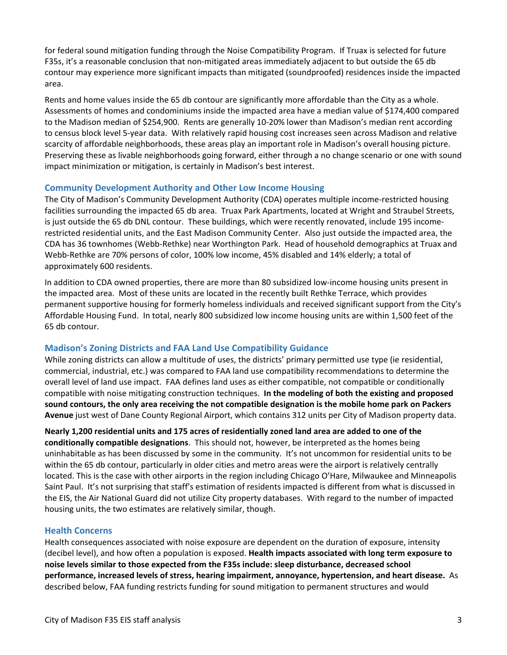for federal sound mitigation funding through the Noise Compatibility Program. If Truax is selected for future F35s, it's a reasonable conclusion that non-mitigated areas immediately adjacent to but outside the 65 db contour may experience more significant impacts than mitigated (soundproofed) residences inside the impacted area.

Rents and home values inside the 65 db contour are significantly more affordable than the City as a whole. Assessments of homes and condominiums inside the impacted area have a median value of \$174,400 compared to the Madison median of \$254,900. Rents are generally 10-20% lower than Madison's median rent according to census block level 5-year data. With relatively rapid housing cost increases seen across Madison and relative scarcity of affordable neighborhoods, these areas play an important role in Madison's overall housing picture. Preserving these as livable neighborhoods going forward, either through a no change scenario or one with sound impact minimization or mitigation, is certainly in Madison's best interest.

### **Community Development Authority and Other Low Income Housing**

The City of Madison's Community Development Authority (CDA) operates multiple income-restricted housing facilities surrounding the impacted 65 db area. Truax Park Apartments, located at Wright and Straubel Streets, is just outside the 65 db DNL contour. These buildings, which were recently renovated, include 195 incomerestricted residential units, and the East Madison Community Center. Also just outside the impacted area, the CDA has 36 townhomes (Webb-Rethke) near Worthington Park. Head of household demographics at Truax and Webb-Rethke are 70% persons of color, 100% low income, 45% disabled and 14% elderly; a total of approximately 600 residents.

In addition to CDA owned properties, there are more than 80 subsidized low-income housing units present in the impacted area. Most of these units are located in the recently built Rethke Terrace, which provides permanent supportive housing for formerly homeless individuals and received significant support from the City's Affordable Housing Fund. In total, nearly 800 subsidized low income housing units are within 1,500 feet of the 65 db contour.

## **Madison's Zoning Districts and FAA Land Use Compatibility Guidance**

While zoning districts can allow a multitude of uses, the districts' primary permitted use type (ie residential, commercial, industrial, etc.) was compared to FAA land use compatibility recommendations to determine the overall level of land use impact. FAA defines land uses as either compatible, not compatible or conditionally compatible with noise mitigating construction techniques. **In the modeling of both the existing and proposed sound contours, the only area receiving the not compatible designation is the mobile home park on Packers Avenue** just west of Dane County Regional Airport, which contains 312 units per City of Madison property data.

**Nearly 1,200 residential units and 175 acres of residentially zoned land area are added to one of the conditionally compatible designations**. This should not, however, be interpreted as the homes being uninhabitable as has been discussed by some in the community. It's not uncommon for residential units to be within the 65 db contour, particularly in older cities and metro areas were the airport is relatively centrally located. This is the case with other airports in the region including Chicago O'Hare, Milwaukee and Minneapolis Saint Paul. It's not surprising that staff's estimation of residents impacted is different from what is discussed in the EIS, the Air National Guard did not utilize City property databases. With regard to the number of impacted housing units, the two estimates are relatively similar, though.

#### **Health Concerns**

Health consequences associated with noise exposure are dependent on the duration of exposure, intensity (decibel level), and how often a population is exposed. **Health impacts associated with long term exposure to noise levels similar to those expected from the F35s include: sleep disturbance, decreased school performance, increased levels of stress, hearing impairment, annoyance, hypertension, and heart disease.** As described below, FAA funding restricts funding for sound mitigation to permanent structures and would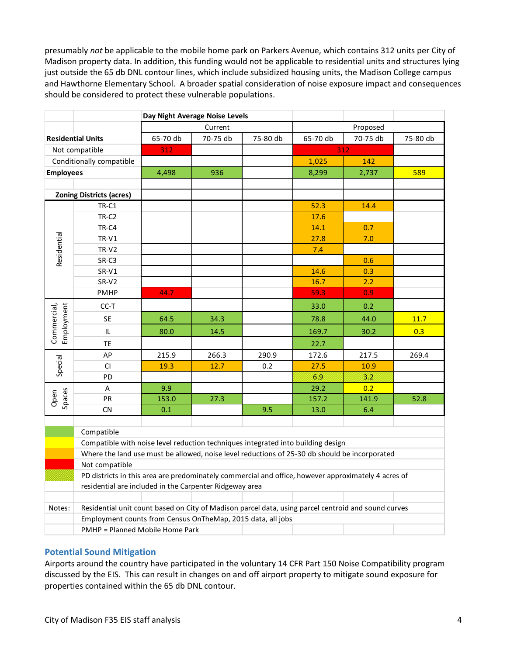presumably *not* be applicable to the mobile home park on Parkers Avenue, which contains 312 units per City of Madison property data. In addition, this funding would not be applicable to residential units and structures lying just outside the 65 db DNL contour lines, which include subsidized housing units, the Madison College campus and Hawthorne Elementary School. A broader spatial consideration of noise exposure impact and consequences should be considered to protect these vulnerable populations.

|                                                                                               |                                                                                                     | Day Night Average Noise Levels  |          |          |          |          |          |
|-----------------------------------------------------------------------------------------------|-----------------------------------------------------------------------------------------------------|---------------------------------|----------|----------|----------|----------|----------|
|                                                                                               |                                                                                                     | Current                         |          |          | Proposed |          |          |
| <b>Residential Units</b>                                                                      |                                                                                                     | 65-70 db                        | 70-75 db | 75-80 db | 65-70 db | 70-75 db | 75-80 db |
| Not compatible                                                                                |                                                                                                     | 312                             |          |          | 312      |          |          |
| Conditionally compatible                                                                      |                                                                                                     |                                 |          |          | 1,025    | 142      |          |
| <b>Employees</b>                                                                              |                                                                                                     | 4,498                           | 936      |          | 8,299    | 2,737    | 589      |
|                                                                                               |                                                                                                     |                                 |          |          |          |          |          |
| <b>Zoning Districts (acres)</b>                                                               |                                                                                                     |                                 |          |          |          |          |          |
| Residential                                                                                   | TR-C1                                                                                               |                                 |          |          | 52.3     | 14.4     |          |
|                                                                                               | TR-C <sub>2</sub>                                                                                   |                                 |          |          | 17.6     |          |          |
|                                                                                               | TR-C4                                                                                               |                                 |          |          | 14.1     | 0.7      |          |
|                                                                                               | $TR-V1$                                                                                             |                                 |          |          | 27.8     | 7.0      |          |
|                                                                                               | TR-V2                                                                                               |                                 |          |          | 7.4      |          |          |
|                                                                                               | SR-C3                                                                                               |                                 |          |          |          | 0.6      |          |
|                                                                                               | SR-V1                                                                                               |                                 |          |          | 14.6     | 0.3      |          |
|                                                                                               | SR-V2                                                                                               |                                 |          |          | 16.7     | 2.2      |          |
|                                                                                               | PMHP                                                                                                | 44.7                            |          |          | 59.3     | 0.9      |          |
| Commercial,<br>Employment                                                                     | CC-T                                                                                                |                                 |          |          | 33.0     | 0.2      |          |
|                                                                                               | <b>SE</b>                                                                                           | 64.5                            | 34.3     |          | 78.8     | 44.0     | 11.7     |
|                                                                                               | IL                                                                                                  | 80.0                            | 14.5     |          | 169.7    | 30.2     | 0.3      |
|                                                                                               | <b>TE</b>                                                                                           |                                 |          |          | 22.7     |          |          |
| Special                                                                                       | AP                                                                                                  | 215.9                           | 266.3    | 290.9    | 172.6    | 217.5    | 269.4    |
|                                                                                               | CI                                                                                                  | 19.3                            | 12.7     | 0.2      | 27.5     | 10.9     |          |
|                                                                                               | PD                                                                                                  |                                 |          |          | 6.9      | 3.2      |          |
| Open<br>Spaces                                                                                | A                                                                                                   | 9.9                             |          |          | 29.2     | 0.2      |          |
|                                                                                               | PR                                                                                                  | 153.0                           | 27.3     |          | 157.2    | 141.9    | 52.8     |
|                                                                                               | ${\sf CN}$                                                                                          | 0.1                             |          | 9.5      | 13.0     | 6.4      |          |
|                                                                                               |                                                                                                     |                                 |          |          |          |          |          |
|                                                                                               | Compatible                                                                                          |                                 |          |          |          |          |          |
|                                                                                               | Compatible with noise level reduction techniques integrated into building design                    |                                 |          |          |          |          |          |
| Where the land use must be allowed, noise level reductions of 25-30 db should be incorporated |                                                                                                     |                                 |          |          |          |          |          |
|                                                                                               | Not compatible                                                                                      |                                 |          |          |          |          |          |
|                                                                                               | PD districts in this area are predominately commercial and office, however approximately 4 acres of |                                 |          |          |          |          |          |
|                                                                                               | residential are included in the Carpenter Ridgeway area                                             |                                 |          |          |          |          |          |
|                                                                                               |                                                                                                     |                                 |          |          |          |          |          |
| Notes:                                                                                        | Residential unit count based on City of Madison parcel data, using parcel centroid and sound curves |                                 |          |          |          |          |          |
|                                                                                               | Employment counts from Census OnTheMap, 2015 data, all jobs                                         |                                 |          |          |          |          |          |
|                                                                                               |                                                                                                     | PMHP = Planned Mobile Home Park |          |          |          |          |          |

## **Potential Sound Mitigation**

Airports around the country have participated in the voluntary 14 CFR Part 150 Noise Compatibility program discussed by the EIS. This can result in changes on and off airport property to mitigate sound exposure for properties contained within the 65 db DNL contour.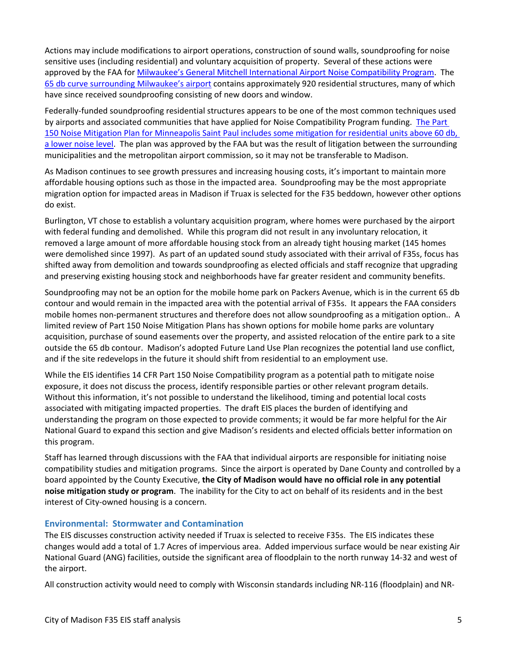Actions may include modifications to airport operations, construction of sound walls, soundproofing for noise sensitive uses (including residential) and voluntary acquisition of property. Several of these actions were approved by the FAA fo[r Milwaukee's General Mitchell International Airport Noise Compatibility Program.](https://www.faa.gov/airports/environmental/airport_noise/part_150/states/wi/media/roa_wisconsin_060409.pdf) The [65 db curve surrounding Milwaukee's airport](https://www.mitchellairport.com/application/files/6314/9789/9011/MKE-NEM-FutureContour.pdf) contains approximately 920 residential structures, many of which have since received soundproofing consisting of new doors and window.

Federally-funded soundproofing residential structures appears to be one of the most common techniques used by airports and associated communities that have applied for Noise Compatibility Program funding. [The Part](https://www.macnoise.com/pdf/MSP-2018-Annual-Noise-Contour-Report-web.pdf)  [150 Noise Mitigation Plan for Minneapolis Saint Paul includes some mitigation for residential units above 60 db,](https://www.macnoise.com/pdf/MSP-2018-Annual-Noise-Contour-Report-web.pdf)  [a lower noise level.](https://www.macnoise.com/pdf/MSP-2018-Annual-Noise-Contour-Report-web.pdf) The plan was approved by the FAA but was the result of litigation between the surrounding municipalities and the metropolitan airport commission, so it may not be transferable to Madison.

As Madison continues to see growth pressures and increasing housing costs, it's important to maintain more affordable housing options such as those in the impacted area. Soundproofing may be the most appropriate migration option for impacted areas in Madison if Truax is selected for the F35 beddown, however other options do exist.

Burlington, VT chose to establish a voluntary acquisition program, where homes were purchased by the airport with federal funding and demolished. While this program did not result in any involuntary relocation, it removed a large amount of more affordable housing stock from an already tight housing market (145 homes were demolished since 1997). As part of an updated sound study associated with their arrival of F35s, focus has shifted away from demolition and towards soundproofing as elected officials and staff recognize that upgrading and preserving existing housing stock and neighborhoods have far greater resident and community benefits.

Soundproofing may not be an option for the mobile home park on Packers Avenue, which is in the current 65 db contour and would remain in the impacted area with the potential arrival of F35s. It appears the FAA considers mobile homes non-permanent structures and therefore does not allow soundproofing as a mitigation option.. A limited review of Part 150 Noise Mitigation Plans has shown options for mobile home parks are voluntary acquisition, purchase of sound easements over the property, and assisted relocation of the entire park to a site outside the 65 db contour. Madison's adopted Future Land Use Plan recognizes the potential land use conflict, and if the site redevelops in the future it should shift from residential to an employment use.

While the EIS identifies 14 CFR Part 150 Noise Compatibility program as a potential path to mitigate noise exposure, it does not discuss the process, identify responsible parties or other relevant program details. Without this information, it's not possible to understand the likelihood, timing and potential local costs associated with mitigating impacted properties. The draft EIS places the burden of identifying and understanding the program on those expected to provide comments; it would be far more helpful for the Air National Guard to expand this section and give Madison's residents and elected officials better information on this program.

Staff has learned through discussions with the FAA that individual airports are responsible for initiating noise compatibility studies and mitigation programs. Since the airport is operated by Dane County and controlled by a board appointed by the County Executive, **the City of Madison would have no official role in any potential noise mitigation study or program**. The inability for the City to act on behalf of its residents and in the best interest of City-owned housing is a concern.

#### **Environmental: Stormwater and Contamination**

The EIS discusses construction activity needed if Truax is selected to receive F35s. The EIS indicates these changes would add a total of 1.7 Acres of impervious area. Added impervious surface would be near existing Air National Guard (ANG) facilities, outside the significant area of floodplain to the north runway 14-32 and west of the airport.

All construction activity would need to comply with Wisconsin standards including NR-116 (floodplain) and NR-